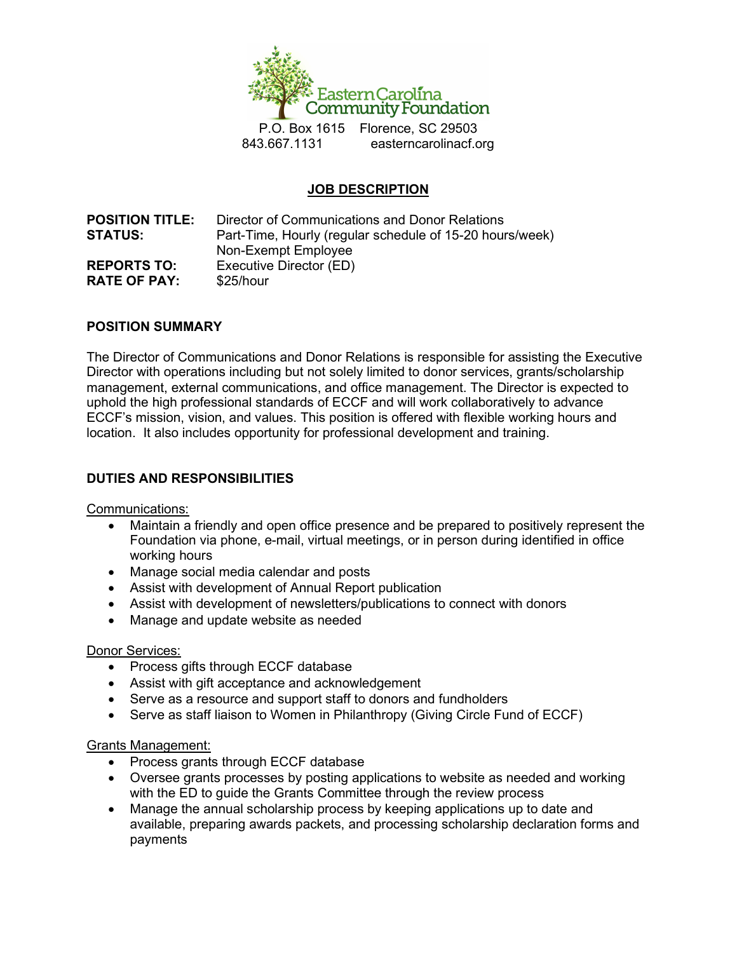

P.O. Box 1615 Florence, SC 29503 843.667.1131 easterncarolinacf.org

# JOB DESCRIPTION

POSITION TITLE: Director of Communications and Donor Relations **STATUS:** Part-Time, Hourly (regular schedule of 15-20 hours/week) Non-Exempt Employee REPORTS TO: Executive Director (ED) RATE OF PAY: \$25/hour

### POSITION SUMMARY

The Director of Communications and Donor Relations is responsible for assisting the Executive Director with operations including but not solely limited to donor services, grants/scholarship management, external communications, and office management. The Director is expected to uphold the high professional standards of ECCF and will work collaboratively to advance ECCF's mission, vision, and values. This position is offered with flexible working hours and location. It also includes opportunity for professional development and training.

### DUTIES AND RESPONSIBILITIES

Communications:

- Maintain a friendly and open office presence and be prepared to positively represent the Foundation via phone, e-mail, virtual meetings, or in person during identified in office working hours
- Manage social media calendar and posts
- Assist with development of Annual Report publication
- Assist with development of newsletters/publications to connect with donors
- Manage and update website as needed

#### Donor Services:

- Process gifts through ECCF database
- Assist with gift acceptance and acknowledgement
- Serve as a resource and support staff to donors and fundholders
- Serve as staff liaison to Women in Philanthropy (Giving Circle Fund of ECCF)

#### Grants Management:

- Process grants through ECCF database
- Oversee grants processes by posting applications to website as needed and working with the ED to guide the Grants Committee through the review process
- Manage the annual scholarship process by keeping applications up to date and available, preparing awards packets, and processing scholarship declaration forms and payments